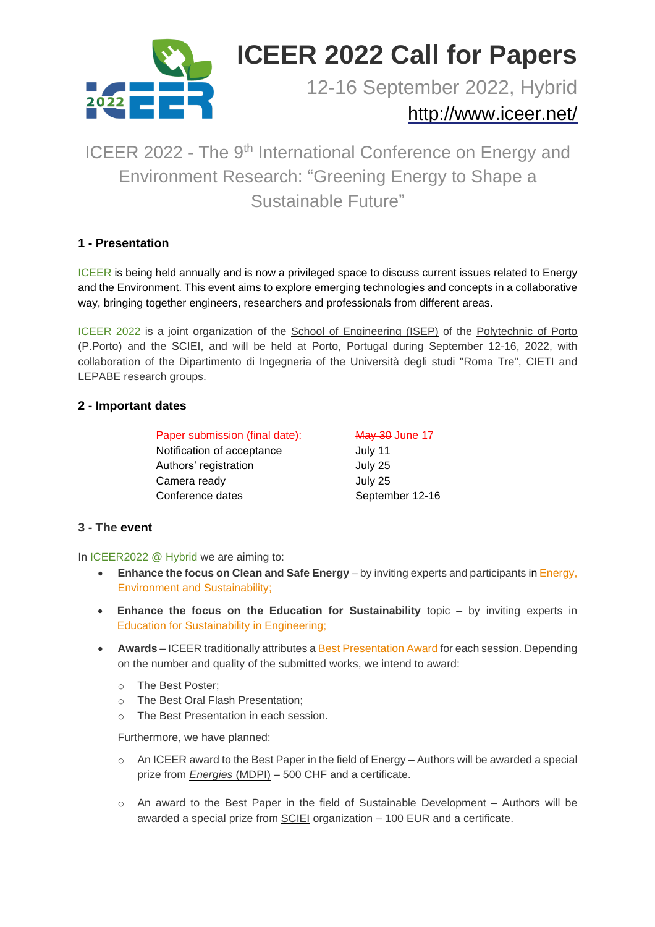

# **ICEER 2022 Call for Papers**

12-16 September 2022, Hybrid

# <http://www.iceer.net/>

# ICEER 2022 - The 9<sup>th</sup> International Conference on Energy and Environment Research: "Greening Energy to Shape a Sustainable Future"

## **1 - Presentation**

ICEER is being held annually and is now a privileged space to discuss current issues related to Energy and the Environment. This event aims to explore emerging technologies and concepts in a collaborative way, bringing together engineers, researchers and professionals from different areas.

ICEER 2022 is a joint organization of the School of Engineering (ISEP) of the Polytechnic of Porto (P.Porto) and the SCIEI, and will be held at Porto, Portugal during September 12-16, 2022, with collaboration of the Dipartimento di Ingegneria of the Università degli studi "Roma Tre", CIETI and LEPABE research groups.

## **2 - Important dates**

| Paper submission (final date): | May 30 June 17  |
|--------------------------------|-----------------|
| Notification of acceptance     | July 11         |
| Authors' registration          | July 25         |
| Camera ready                   | July 25         |
| Conference dates               | September 12-16 |

#### **3 - The event**

In ICEER2022 @ Hybrid we are aiming to:

- **Enhance the focus on Clean and Safe Energy** by inviting experts and participants in Energy, Environment and Sustainability;
- **Enhance the focus on the Education for Sustainability** topic by inviting experts in Education for Sustainability in Engineering;
- **Awards** ICEER traditionally attributes a Best Presentation Award for each session. Depending on the number and quality of the submitted works, we intend to award:
	- o The Best Poster;
	- o The Best Oral Flash Presentation;
	- The Best Presentation in each session.

Furthermore, we have planned:

- $\circ$  An ICEER award to the Best Paper in the field of Energy Authors will be awarded a special prize from *Energies* (MDPI) – 500 CHF and a certificate.
- $\circ$  An award to the Best Paper in the field of Sustainable Development Authors will be awarded a special prize from SCIEI organization – 100 EUR and a certificate.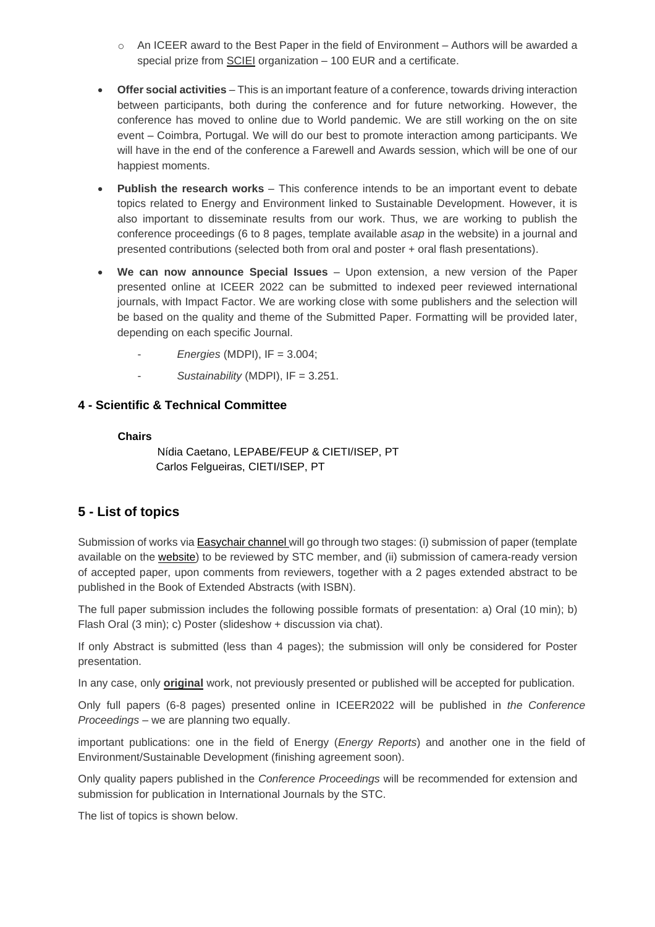- $\circ$  An ICEER award to the Best Paper in the field of Environment Authors will be awarded a special prize from **SCIEI** organization - 100 EUR and a certificate.
- **Offer social activities** This is an important feature of a conference, towards driving interaction between participants, both during the conference and for future networking. However, the conference has moved to online due to World pandemic. We are still working on the on site event – Coimbra, Portugal. We will do our best to promote interaction among participants. We will have in the end of the conference a Farewell and Awards session, which will be one of our happiest moments.
- **Publish the research works** This conference intends to be an important event to debate topics related to Energy and Environment linked to Sustainable Development. However, it is also important to disseminate results from our work. Thus, we are working to publish the conference proceedings (6 to 8 pages, [template](http://iceer.net/index.html) available *asap* in the website) in a journal and presented contributions (selected both from oral and poster + oral flash presentations).
- **We can now announce Special Issues** Upon extension, a new version of the Paper presented online at ICEER 2022 can be submitted to indexed peer reviewed international journals, with Impact Factor. We are working close with some publishers and the selection will be based on the quality and theme of the Submitted Paper. Formatting will be provided later, depending on each specific Journal.
	- *Energies* (MDPI), IF = 3.004;
	- Sustainability (MDPI), IF = 3.251.

#### **4 - Scientific & Technical Committee**

#### **Chairs**

Nídia Caetano, LEPABE/FEUP & CIETI/ISEP, PT Carlos Felgueiras, CIETI/ISEP, PT

# **5 - List of topics**

Submission of works via **[Easychair](https://easychair.org/conferences/?conf=iceer2022) channel** will go through two stages: (i) submission of paper (template available on the [website\)](http://www.iceer.net/) to be reviewed by STC member, and (ii) submission of camera-ready version of accepted paper, upon comments from reviewers, together with a 2 pages extended abstract to be published in the Book of Extended Abstracts (with ISBN).

The full paper submission includes the following possible formats of presentation: a) Oral (10 min); b) Flash Oral (3 min); c) Poster (slideshow + discussion via chat).

If only Abstract is submitted (less than 4 pages); the submission will only be considered for Poster presentation.

In any case, only **original** work, not previously presented or published will be accepted for publication.

Only full papers (6-8 pages) presented online in ICEER2022 will be published in *the Conference Proceedings* – we are planning two equally.

important publications: one in the field of Energy (*Energy Reports*) and another one in the field of Environment/Sustainable Development (finishing agreement soon).

Only quality papers published in the *Conference Proceedings* will be recommended for extension and submission for publication in International Journals by the STC.

The list of topics is shown below.